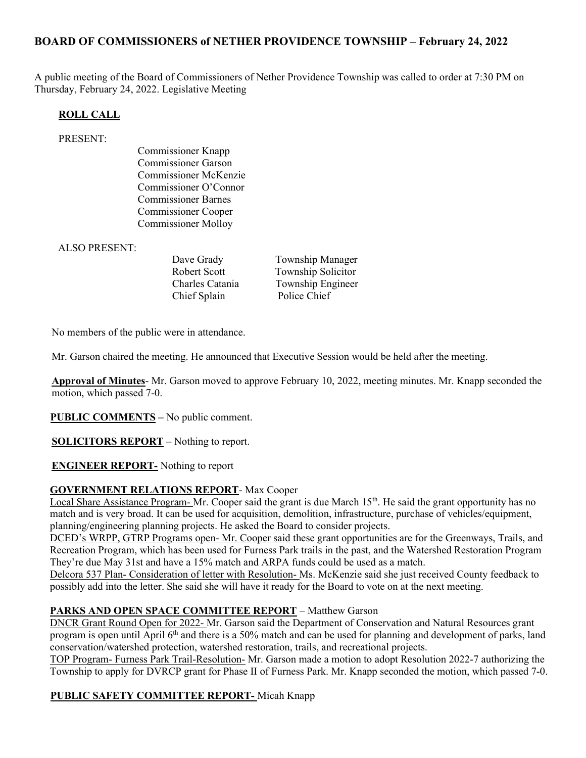# BOARD OF COMMISSIONERS of NETHER PROVIDENCE TOWNSHIP – February 24, 2022

A public meeting of the Board of Commissioners of Nether Providence Township was called to order at 7:30 PM on Thursday, February 24, 2022. Legislative Meeting

### ROLL CALL

#### PRESENT:

Commissioner Knapp Commissioner Garson Commissioner McKenzie Commissioner O'Connor Commissioner Barnes Commissioner Cooper Commissioner Molloy

ALSO PRESENT:

Chief Splain Police Chief

Dave Grady Township Manager Robert Scott Township Solicitor Charles Catania Township Engineer

No members of the public were in attendance.

Mr. Garson chaired the meeting. He announced that Executive Session would be held after the meeting.

Approval of Minutes- Mr. Garson moved to approve February 10, 2022, meeting minutes. Mr. Knapp seconded the motion, which passed 7-0.

**PUBLIC COMMENTS** – No public comment.

**SOLICITORS REPORT** – Nothing to report.

ENGINEER REPORT- Nothing to report

#### GOVERNMENT RELATIONS REPORT- Max Cooper

Local Share Assistance Program- Mr. Cooper said the grant is due March  $15<sup>th</sup>$ . He said the grant opportunity has no match and is very broad. It can be used for acquisition, demolition, infrastructure, purchase of vehicles/equipment, planning/engineering planning projects. He asked the Board to consider projects.

DCED's WRPP, GTRP Programs open- Mr. Cooper said these grant opportunities are for the Greenways, Trails, and Recreation Program, which has been used for Furness Park trails in the past, and the Watershed Restoration Program They're due May 31st and have a 15% match and ARPA funds could be used as a match.

Delcora 537 Plan- Consideration of letter with Resolution- Ms. McKenzie said she just received County feedback to possibly add into the letter. She said she will have it ready for the Board to vote on at the next meeting.

### PARKS AND OPEN SPACE COMMITTEE REPORT – Matthew Garson

DNCR Grant Round Open for 2022- Mr. Garson said the Department of Conservation and Natural Resources grant program is open until April 6th and there is a 50% match and can be used for planning and development of parks, land conservation/watershed protection, watershed restoration, trails, and recreational projects.

TOP Program- Furness Park Trail-Resolution- Mr. Garson made a motion to adopt Resolution 2022-7 authorizing the Township to apply for DVRCP grant for Phase II of Furness Park. Mr. Knapp seconded the motion, which passed 7-0.

#### PUBLIC SAFETY COMMITTEE REPORT- Micah Knapp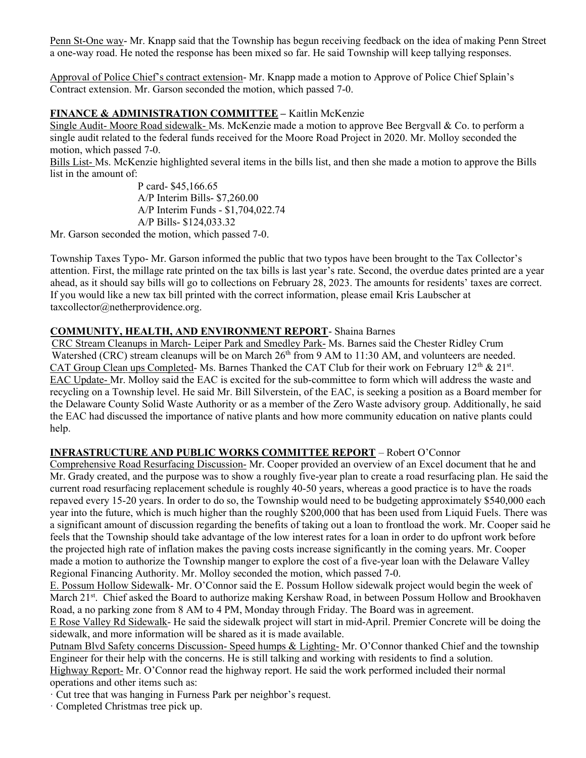Penn St-One way- Mr. Knapp said that the Township has begun receiving feedback on the idea of making Penn Street a one-way road. He noted the response has been mixed so far. He said Township will keep tallying responses.

Approval of Police Chief's contract extension- Mr. Knapp made a motion to Approve of Police Chief Splain's Contract extension. Mr. Garson seconded the motion, which passed 7-0.

### FINANCE & ADMINISTRATION COMMITTEE – Kaitlin McKenzie

Single Audit- Moore Road sidewalk- Ms. McKenzie made a motion to approve Bee Bergvall & Co. to perform a single audit related to the federal funds received for the Moore Road Project in 2020. Mr. Molloy seconded the motion, which passed 7-0.

Bills List- Ms. McKenzie highlighted several items in the bills list, and then she made a motion to approve the Bills list in the amount of:

> P card- \$45,166.65 A/P Interim Bills- \$7,260.00 A/P Interim Funds - \$1,704,022.74 A/P Bills- \$124,033.32

Mr. Garson seconded the motion, which passed 7-0.

Township Taxes Typo- Mr. Garson informed the public that two typos have been brought to the Tax Collector's attention. First, the millage rate printed on the tax bills is last year's rate. Second, the overdue dates printed are a year ahead, as it should say bills will go to collections on February 28, 2023. The amounts for residents' taxes are correct. If you would like a new tax bill printed with the correct information, please email Kris Laubscher at taxcollector@netherprovidence.org.

## COMMUNITY, HEALTH, AND ENVIRONMENT REPORT- Shaina Barnes

CRC Stream Cleanups in March- Leiper Park and Smedley Park- Ms. Barnes said the Chester Ridley Crum Watershed (CRC) stream cleanups will be on March 26<sup>th</sup> from 9 AM to 11:30 AM, and volunteers are needed. CAT Group Clean ups Completed- Ms. Barnes Thanked the CAT Club for their work on February  $12<sup>th</sup>$  &  $21<sup>st</sup>$ . EAC Update- Mr. Molloy said the EAC is excited for the sub-committee to form which will address the waste and recycling on a Township level. He said Mr. Bill Silverstein, of the EAC, is seeking a position as a Board member for the Delaware County Solid Waste Authority or as a member of the Zero Waste advisory group. Additionally, he said the EAC had discussed the importance of native plants and how more community education on native plants could help.

### INFRASTRUCTURE AND PUBLIC WORKS COMMITTEE REPORT – Robert O'Connor

Comprehensive Road Resurfacing Discussion- Mr. Cooper provided an overview of an Excel document that he and Mr. Grady created, and the purpose was to show a roughly five-year plan to create a road resurfacing plan. He said the current road resurfacing replacement schedule is roughly 40-50 years, whereas a good practice is to have the roads repaved every 15-20 years. In order to do so, the Township would need to be budgeting approximately \$540,000 each year into the future, which is much higher than the roughly \$200,000 that has been used from Liquid Fuels. There was a significant amount of discussion regarding the benefits of taking out a loan to frontload the work. Mr. Cooper said he feels that the Township should take advantage of the low interest rates for a loan in order to do upfront work before the projected high rate of inflation makes the paving costs increase significantly in the coming years. Mr. Cooper made a motion to authorize the Township manger to explore the cost of a five-year loan with the Delaware Valley Regional Financing Authority. Mr. Molloy seconded the motion, which passed 7-0.

E. Possum Hollow Sidewalk- Mr. O'Connor said the E. Possum Hollow sidewalk project would begin the week of March 21<sup>st</sup>. Chief asked the Board to authorize making Kershaw Road, in between Possum Hollow and Brookhaven Road, a no parking zone from 8 AM to 4 PM, Monday through Friday. The Board was in agreement.

E Rose Valley Rd Sidewalk- He said the sidewalk project will start in mid-April. Premier Concrete will be doing the sidewalk, and more information will be shared as it is made available.

Putnam Blvd Safety concerns Discussion- Speed humps & Lighting- Mr. O'Connor thanked Chief and the township Engineer for their help with the concerns. He is still talking and working with residents to find a solution.

Highway Report- Mr. O'Connor read the highway report. He said the work performed included their normal operations and other items such as:

· Cut tree that was hanging in Furness Park per neighbor's request.

· Completed Christmas tree pick up.